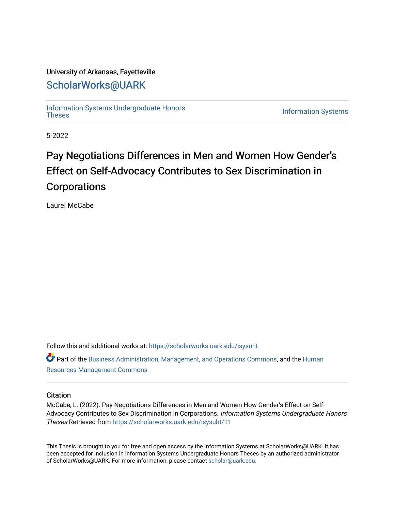# University of Arkansas, Fayetteville

# [ScholarWorks@UARK](https://scholarworks.uark.edu/)

[Information Systems Undergraduate Honors](https://scholarworks.uark.edu/isysuht)

**Information Systems** 

5-2022

# Pay Negotiations Differences in Men and Women How Gender's Effect on Self-Advocacy Contributes to Sex Discrimination in Corporations

Laurel McCabe

Follow this and additional works at: [https://scholarworks.uark.edu/isysuht](https://scholarworks.uark.edu/isysuht?utm_source=scholarworks.uark.edu%2Fisysuht%2F11&utm_medium=PDF&utm_campaign=PDFCoverPages)  Part of the [Business Administration, Management, and Operations Commons](http://network.bepress.com/hgg/discipline/623?utm_source=scholarworks.uark.edu%2Fisysuht%2F11&utm_medium=PDF&utm_campaign=PDFCoverPages), and the [Human](http://network.bepress.com/hgg/discipline/633?utm_source=scholarworks.uark.edu%2Fisysuht%2F11&utm_medium=PDF&utm_campaign=PDFCoverPages) 

[Resources Management Commons](http://network.bepress.com/hgg/discipline/633?utm_source=scholarworks.uark.edu%2Fisysuht%2F11&utm_medium=PDF&utm_campaign=PDFCoverPages) 

# **Citation**

McCabe, L. (2022). Pay Negotiations Differences in Men and Women How Gender's Effect on Self-Advocacy Contributes to Sex Discrimination in Corporations. Information Systems Undergraduate Honors Theses Retrieved from [https://scholarworks.uark.edu/isysuht/11](https://scholarworks.uark.edu/isysuht/11?utm_source=scholarworks.uark.edu%2Fisysuht%2F11&utm_medium=PDF&utm_campaign=PDFCoverPages) 

This Thesis is brought to you for free and open access by the Information Systems at ScholarWorks@UARK. It has been accepted for inclusion in Information Systems Undergraduate Honors Theses by an authorized administrator of ScholarWorks@UARK. For more information, please contact [scholar@uark.edu.](mailto:scholar@uark.edu)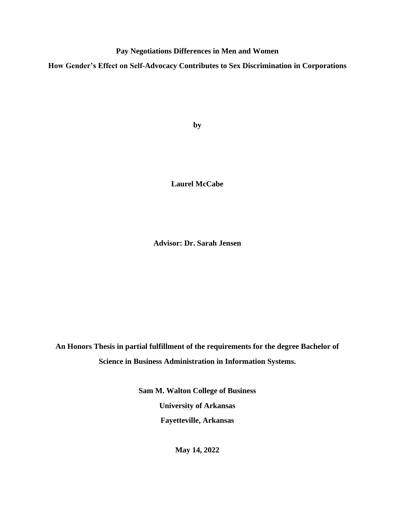**Pay Negotiations Differences in Men and Women**

**How Gender's Effect on Self-Advocacy Contributes to Sex Discrimination in Corporations**

**by**

**Laurel McCabe**

**Advisor: Dr. Sarah Jensen**

**An Honors Thesis in partial fulfillment of the requirements for the degree Bachelor of Science in Business Administration in Information Systems.**

> **Sam M. Walton College of Business University of Arkansas Fayetteville, Arkansas**

> > **May 14, 2022**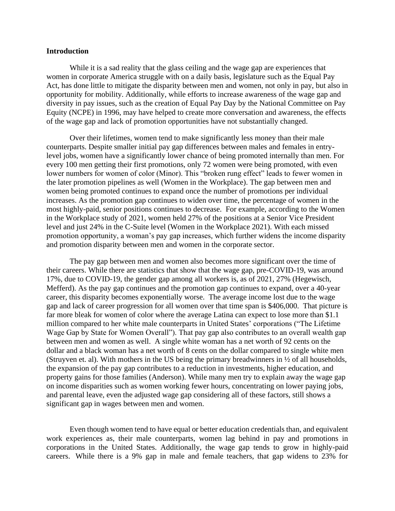# **Introduction**

While it is a sad reality that the glass ceiling and the wage gap are experiences that women in corporate America struggle with on a daily basis, legislature such as the Equal Pay Act, has done little to mitigate the disparity between men and women, not only in pay, but also in opportunity for mobility. Additionally, while efforts to increase awareness of the wage gap and diversity in pay issues, such as the creation of Equal Pay Day by the National Committee on Pay Equity (NCPE) in 1996, may have helped to create more conversation and awareness, the effects of the wage gap and lack of promotion opportunities have not substantially changed.

Over their lifetimes, women tend to make significantly less money than their male counterparts. Despite smaller initial pay gap differences between males and females in entrylevel jobs, women have a significantly lower chance of being promoted internally than men. For every 100 men getting their first promotions, only 72 women were being promoted, with even lower numbers for women of color (Minor). This "broken rung effect" leads to fewer women in the later promotion pipelines as well (Women in the Workplace). The gap between men and women being promoted continues to expand once the number of promotions per individual increases. As the promotion gap continues to widen over time, the percentage of women in the most highly-paid, senior positions continues to decrease. For example, according to the Women in the Workplace study of 2021, women held 27% of the positions at a Senior Vice President level and just 24% in the C-Suite level (Women in the Workplace 2021). With each missed promotion opportunity, a woman's pay gap increases, which further widens the income disparity and promotion disparity between men and women in the corporate sector.

The pay gap between men and women also becomes more significant over the time of their careers. While there are statistics that show that the wage gap, pre-COVID-19, was around 17%, due to COVID-19, the gender gap among all workers is, as of 2021, 27% (Hegewisch, Mefferd). As the pay gap continues and the promotion gap continues to expand, over a 40-year career, this disparity becomes exponentially worse. The average income lost due to the wage gap and lack of career progression for all women over that time span is \$406,000. That picture is far more bleak for women of color where the average Latina can expect to lose more than \$1.1 million compared to her white male counterparts in United States' corporations ("The Lifetime Wage Gap by State for Women Overall"). That pay gap also contributes to an overall wealth gap between men and women as well. A single white woman has a net worth of 92 cents on the dollar and a black woman has a net worth of 8 cents on the dollar compared to single white men (Struyven et. al). With mothers in the US being the primary breadwinners in ½ of all households, the expansion of the pay gap contributes to a reduction in investments, higher education, and property gains for those families (Anderson). While many men try to explain away the wage gap on income disparities such as women working fewer hours, concentrating on lower paying jobs, and parental leave, even the adjusted wage gap considering all of these factors, still shows a significant gap in wages between men and women.

Even though women tend to have equal or better education credentials than, and equivalent work experiences as, their male counterparts, women lag behind in pay and promotions in corporations in the United States. Additionally, the wage gap tends to grow in highly-paid careers. While there is a 9% gap in male and female teachers, that gap widens to 23% for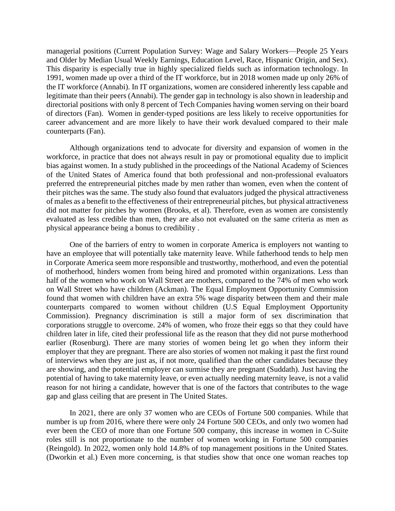managerial positions (Current Population Survey: Wage and Salary Workers—People 25 Years and Older by Median Usual Weekly Earnings, Education Level, Race, Hispanic Origin, and Sex). This disparity is especially true in highly specialized fields such as information technology. In 1991, women made up over a third of the IT workforce, but in 2018 women made up only 26% of the IT workforce (Annabi). In IT organizations, women are considered inherently less capable and legitimate than their peers (Annabi). The gender gap in technology is also shown in leadership and directorial positions with only 8 percent of Tech Companies having women serving on their board of directors (Fan). Women in gender-typed positions are less likely to receive opportunities for career advancement and are more likely to have their work devalued compared to their male counterparts (Fan).

Although organizations tend to advocate for diversity and expansion of women in the workforce, in practice that does not always result in pay or promotional equality due to implicit bias against women. In a study published in the proceedings of the National Academy of Sciences of the United States of America found that both professional and non-professional evaluators preferred the entrepreneurial pitches made by men rather than women, even when the content of their pitches was the same. The study also found that evaluators judged the physical attractiveness of males as a benefit to the effectiveness of their entrepreneurial pitches, but physical attractiveness did not matter for pitches by women (Brooks, et al). Therefore, even as women are consistently evaluated as less credible than men, they are also not evaluated on the same criteria as men as physical appearance being a bonus to credibility .

One of the barriers of entry to women in corporate America is employers not wanting to have an employee that will potentially take maternity leave. While fatherhood tends to help men in Corporate America seem more responsible and trustworthy, motherhood, and even the potential of motherhood, hinders women from being hired and promoted within organizations. Less than half of the women who work on Wall Street are mothers, compared to the 74% of men who work on Wall Street who have children (Ackman). The Equal Employment Opportunity Commission found that women with children have an extra 5% wage disparity between them and their male counterparts compared to women without children (U.S Equal Employment Opportunity Commission). Pregnancy discrimination is still a major form of sex discrimination that corporations struggle to overcome. 24% of women, who froze their eggs so that they could have children later in life, cited their professional life as the reason that they did not purse motherhood earlier (Rosenburg). There are many stories of women being let go when they inform their employer that they are pregnant. There are also stories of women not making it past the first round of interviews when they are just as, if not more, qualified than the other candidates because they are showing, and the potential employer can surmise they are pregnant (Suddath). Just having the potential of having to take maternity leave, or even actually needing maternity leave, is not a valid reason for not hiring a candidate, however that is one of the factors that contributes to the wage gap and glass ceiling that are present in The United States.

In 2021, there are only 37 women who are CEOs of Fortune 500 companies. While that number is up from 2016, where there were only 24 Fortune 500 CEOs, and only two women had ever been the CEO of more than one Fortune 500 company, this increase in women in C-Suite roles still is not proportionate to the number of women working in Fortune 500 companies (Reingold). In 2022, women only hold 14.8% of top management positions in the United States. (Dworkin et al.) Even more concerning, is that studies show that once one woman reaches top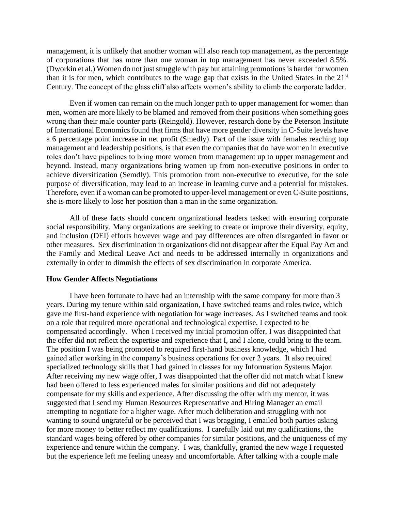management, it is unlikely that another woman will also reach top management, as the percentage of corporations that has more than one woman in top management has never exceeded 8.5%. (Dworkin et al.) Women do not just struggle with pay but attaining promotions is harder for women than it is for men, which contributes to the wage gap that exists in the United States in the 21st Century. The concept of the glass cliff also affects women's ability to climb the corporate ladder.

Even if women can remain on the much longer path to upper management for women than men, women are more likely to be blamed and removed from their positions when something goes wrong than their male counter parts (Reingold). However, research done by the Peterson Institute of International Economics found that firms that have more gender diversity in C-Suite levels have a 6 percentage point increase in net profit (Smedly). Part of the issue with females reaching top management and leadership positions, is that even the companies that do have women in executive roles don't have pipelines to bring more women from management up to upper management and beyond. Instead, many organizations bring women up from non-executive positions in order to achieve diversification (Semdly). This promotion from non-executive to executive, for the sole purpose of diversification, may lead to an increase in learning curve and a potential for mistakes. Therefore, even if a woman can be promoted to upper-level management or even C-Suite positions, she is more likely to lose her position than a man in the same organization.

All of these facts should concern organizational leaders tasked with ensuring corporate social responsibility. Many organizations are seeking to create or improve their diversity, equity, and inclusion (DEI) efforts however wage and pay differences are often disregarded in favor or other measures. Sex discrimination in organizations did not disappear after the Equal Pay Act and the Family and Medical Leave Act and needs to be addressed internally in organizations and externally in order to dimmish the effects of sex discrimination in corporate America.

#### **How Gender Affects Negotiations**

I have been fortunate to have had an internship with the same company for more than 3 years. During my tenure within said organization, I have switched teams and roles twice, which gave me first-hand experience with negotiation for wage increases. As I switched teams and took on a role that required more operational and technological expertise, I expected to be compensated accordingly. When I received my initial promotion offer, I was disappointed that the offer did not reflect the expertise and experience that I, and I alone, could bring to the team. The position I was being promoted to required first-hand business knowledge, which I had gained after working in the company's business operations for over 2 years. It also required specialized technology skills that I had gained in classes for my Information Systems Major. After receiving my new wage offer, I was disappointed that the offer did not match what I knew had been offered to less experienced males for similar positions and did not adequately compensate for my skills and experience. After discussing the offer with my mentor, it was suggested that I send my Human Resources Representative and Hiring Manager an email attempting to negotiate for a higher wage. After much deliberation and struggling with not wanting to sound ungrateful or be perceived that I was bragging, I emailed both parties asking for more money to better reflect my qualifications. I carefully laid out my qualifications, the standard wages being offered by other companies for similar positions, and the uniqueness of my experience and tenure within the company. I was, thankfully, granted the new wage I requested but the experience left me feeling uneasy and uncomfortable. After talking with a couple male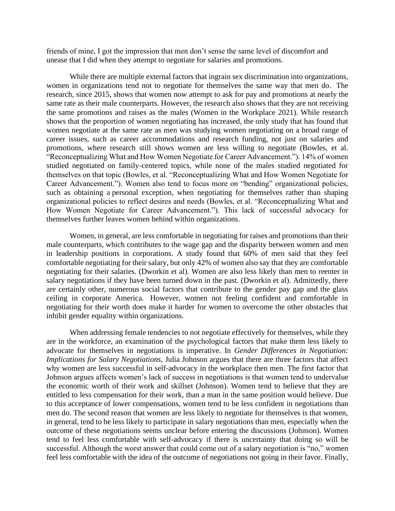friends of mine, I got the impression that men don't sense the same level of discomfort and unease that I did when they attempt to negotiate for salaries and promotions.

While there are multiple external factors that ingrain sex discrimination into organizations, women in organizations tend not to negotiate for themselves the same way that men do. The research, since 2015, shows that women now attempt to ask for pay and promotions at nearly the same rate as their male counterparts. However, the research also shows that they are not receiving the same promotions and raises as the males (Women in the Workplace 2021). While research shows that the proportion of women negotiating has increased, the only study that has found that women negotiate at the same rate as men was studying women negotiating on a broad range of career issues, such as career accommodations and research funding, not just on salaries and promotions, where research still shows women are less willing to negotiate (Bowles, et al. "Reconceptualizing What and How Women Negotiate for Career Advancement."). 14% of women studied negotiated on family-centered topics, while none of the males studied negotiated for themselves on that topic (Bowles, et al. "Reconceptualizing What and How Women Negotiate for Career Advancement."). Women also tend to focus more on "bending" organizational policies, such as obtaining a personal exception, when negotiating for themselves rather than shaping organizational policies to reflect desires and needs (Bowles, et al. "Reconceptualizing What and How Women Negotiate for Career Advancement."). This lack of successful advocacy for themselves further leaves women behind within organizations.

Women, in general, are less comfortable in negotiating for raises and promotions than their male counterparts, which contributes to the wage gap and the disparity between women and men in leadership positions in corporations. A study found that 60% of men said that they feel comfortable negotiating for their salary, but only 42% of women also say that they are comfortable negotiating for their salaries. (Dworkin et al). Women are also less likely than men to reenter in salary negotiations if they have been turned down in the past. (Dworkin et al). Admittedly, there are certainly other, numerous social factors that contribute to the gender pay gap and the glass ceiling in corporate America. However, women not feeling confident and comfortable in negotiating for their worth does make it harder for women to overcome the other obstacles that inhibit gender equality within organizations.

When addressing female tendencies to not negotiate effectively for themselves, while they are in the workforce, an examination of the psychological factors that make them less likely to advocate for themselves in negotiations is imperative. In *Gender Differences in Negotiation: Implications for Salary Negotiations*, Julia Johnson argues that there are three factors that affect why women are less successful in self-advocacy in the workplace then men. The first factor that Johnson argues affects women's lack of success in negotiations is that women tend to undervalue the economic worth of their work and skillset (Johnson). Women tend to believe that they are entitled to less compensation for their work, than a man in the same position would believe. Due to this acceptance of lower compensations, women tend to be less confident in negotiations than men do. The second reason that women are less likely to negotiate for themselves is that women, in general, tend to be less likely to participate in salary negotiations than men, especially when the outcome of these negotiations seems unclear before entering the discussions (Johnson). Women tend to feel less comfortable with self-advocacy if there is uncertainty that doing so will be successful. Although the worst answer that could come out of a salary negotiation is "no," women feel less comfortable with the idea of the outcome of negotiations not going in their favor. Finally,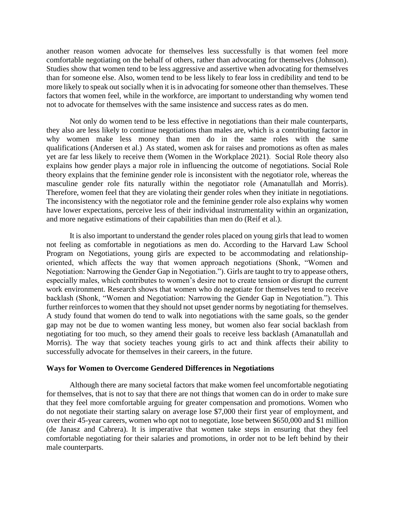another reason women advocate for themselves less successfully is that women feel more comfortable negotiating on the behalf of others, rather than advocating for themselves (Johnson). Studies show that women tend to be less aggressive and assertive when advocating for themselves than for someone else. Also, women tend to be less likely to fear loss in credibility and tend to be more likely to speak out socially when it is in advocating for someone other than themselves. These factors that women feel, while in the workforce, are important to understanding why women tend not to advocate for themselves with the same insistence and success rates as do men.

Not only do women tend to be less effective in negotiations than their male counterparts, they also are less likely to continue negotiations than males are, which is a contributing factor in why women make less money than men do in the same roles with the same qualifications (Andersen et al.) As stated, women ask for raises and promotions as often as males yet are far less likely to receive them (Women in the Workplace 2021). Social Role theory also explains how gender plays a major role in influencing the outcome of negotiations. Social Role theory explains that the feminine gender role is inconsistent with the negotiator role, whereas the masculine gender role fits naturally within the negotiator role (Amanatullah and Morris). Therefore, women feel that they are violating their gender roles when they initiate in negotiations. The inconsistency with the negotiator role and the feminine gender role also explains why women have lower expectations, perceive less of their individual instrumentality within an organization, and more negative estimations of their capabilities than men do (Reif et al.).

It is also important to understand the gender roles placed on young girls that lead to women not feeling as comfortable in negotiations as men do. According to the Harvard Law School Program on Negotiations, young girls are expected to be accommodating and relationshiporiented, which affects the way that women approach negotiations (Shonk, "Women and Negotiation: Narrowing the Gender Gap in Negotiation."). Girls are taught to try to appease others, especially males, which contributes to women's desire not to create tension or disrupt the current work environment. Research shows that women who do negotiate for themselves tend to receive backlash (Shonk, "Women and Negotiation: Narrowing the Gender Gap in Negotiation."). This further reinforces to women that they should not upset gender norms by negotiating for themselves. A study found that women do tend to walk into negotiations with the same goals, so the gender gap may not be due to women wanting less money, but women also fear social backlash from negotiating for too much, so they amend their goals to receive less backlash (Amanatullah and Morris). The way that society teaches young girls to act and think affects their ability to successfully advocate for themselves in their careers, in the future.

#### **Ways for Women to Overcome Gendered Differences in Negotiations**

Although there are many societal factors that make women feel uncomfortable negotiating for themselves, that is not to say that there are not things that women can do in order to make sure that they feel more comfortable arguing for greater compensation and promotions. Women who do not negotiate their starting salary on average lose \$7,000 their first year of employment, and over their 45-year careers, women who opt not to negotiate, lose between \$650,000 and \$1 million (de Janasz and Cabrera). It is imperative that women take steps in ensuring that they feel comfortable negotiating for their salaries and promotions, in order not to be left behind by their male counterparts.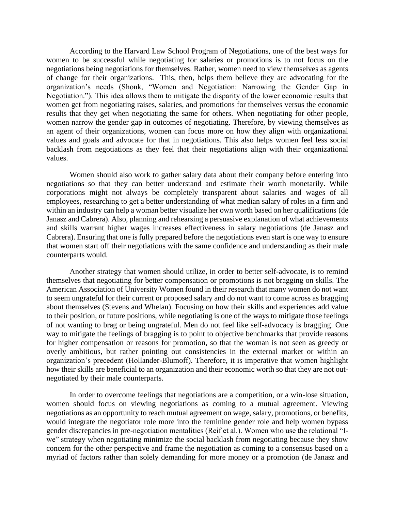According to the Harvard Law School Program of Negotiations, one of the best ways for women to be successful while negotiating for salaries or promotions is to not focus on the negotiations being negotiations for themselves. Rather, women need to view themselves as agents of change for their organizations. This, then, helps them believe they are advocating for the organization's needs (Shonk, "Women and Negotiation: Narrowing the Gender Gap in Negotiation."). This idea allows them to mitigate the disparity of the lower economic results that women get from negotiating raises, salaries, and promotions for themselves versus the economic results that they get when negotiating the same for others. When negotiating for other people, women narrow the gender gap in outcomes of negotiating. Therefore, by viewing themselves as an agent of their organizations, women can focus more on how they align with organizational values and goals and advocate for that in negotiations. This also helps women feel less social backlash from negotiations as they feel that their negotiations align with their organizational values.

Women should also work to gather salary data about their company before entering into negotiations so that they can better understand and estimate their worth monetarily. While corporations might not always be completely transparent about salaries and wages of all employees, researching to get a better understanding of what median salary of roles in a firm and within an industry can help a woman better visualize her own worth based on her qualifications (de Janasz and Cabrera). Also, planning and rehearsing a persuasive explanation of what achievements and skills warrant higher wages increases effectiveness in salary negotiations (de Janasz and Cabrera). Ensuring that one is fully prepared before the negotiations even start is one way to ensure that women start off their negotiations with the same confidence and understanding as their male counterparts would.

 Another strategy that women should utilize, in order to better self-advocate, is to remind themselves that negotiating for better compensation or promotions is not bragging on skills. The American Association of University Women found in their research that many women do not want to seem ungrateful for their current or proposed salary and do not want to come across as bragging about themselves (Stevens and Whelan). Focusing on how their skills and experiences add value to their position, or future positions, while negotiating is one of the ways to mitigate those feelings of not wanting to brag or being ungrateful. Men do not feel like self-advocacy is bragging. One way to mitigate the feelings of bragging is to point to objective benchmarks that provide reasons for higher compensation or reasons for promotion, so that the woman is not seen as greedy or overly ambitious, but rather pointing out consistencies in the external market or within an organization's precedent (Hollander-Blumoff). Therefore, it is imperative that women highlight how their skills are beneficial to an organization and their economic worth so that they are not outnegotiated by their male counterparts.

 In order to overcome feelings that negotiations are a competition, or a win-lose situation, women should focus on viewing negotiations as coming to a mutual agreement. Viewing negotiations as an opportunity to reach mutual agreement on wage, salary, promotions, or benefits, would integrate the negotiator role more into the feminine gender role and help women bypass gender discrepancies in pre-negotiation mentalities (Reif et al.). Women who use the relational "Iwe" strategy when negotiating minimize the social backlash from negotiating because they show concern for the other perspective and frame the negotiation as coming to a consensus based on a myriad of factors rather than solely demanding for more money or a promotion (de Janasz and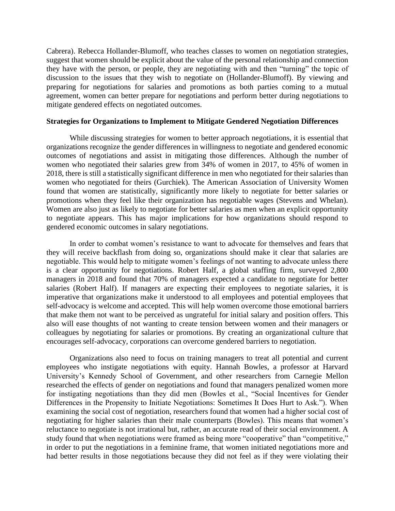Cabrera). Rebecca Hollander-Blumoff, who teaches classes to women on negotiation strategies, suggest that women should be explicit about the value of the personal relationship and connection they have with the person, or people, they are negotiating with and then "turning" the topic of discussion to the issues that they wish to negotiate on (Hollander-Blumoff). By viewing and preparing for negotiations for salaries and promotions as both parties coming to a mutual agreement, women can better prepare for negotiations and perform better during negotiations to mitigate gendered effects on negotiated outcomes.

# **Strategies for Organizations to Implement to Mitigate Gendered Negotiation Differences**

 While discussing strategies for women to better approach negotiations, it is essential that organizations recognize the gender differences in willingness to negotiate and gendered economic outcomes of negotiations and assist in mitigating those differences. Although the number of women who negotiated their salaries grew from 34% of women in 2017, to 45% of women in 2018, there is still a statistically significant difference in men who negotiated for their salaries than women who negotiated for theirs (Gurchiek). The American Association of University Women found that women are statistically, significantly more likely to negotiate for better salaries or promotions when they feel like their organization has negotiable wages (Stevens and Whelan). Women are also just as likely to negotiate for better salaries as men when an explicit opportunity to negotiate appears. This has major implications for how organizations should respond to gendered economic outcomes in salary negotiations.

 In order to combat women's resistance to want to advocate for themselves and fears that they will receive backflash from doing so, organizations should make it clear that salaries are negotiable. This would help to mitigate women's feelings of not wanting to advocate unless there is a clear opportunity for negotiations. Robert Half, a global staffing firm, surveyed 2,800 managers in 2018 and found that 70% of managers expected a candidate to negotiate for better salaries (Robert Half). If managers are expecting their employees to negotiate salaries, it is imperative that organizations make it understood to all employees and potential employees that self-advocacy is welcome and accepted. This will help women overcome those emotional barriers that make them not want to be perceived as ungrateful for initial salary and position offers. This also will ease thoughts of not wanting to create tension between women and their managers or colleagues by negotiating for salaries or promotions. By creating an organizational culture that encourages self-advocacy, corporations can overcome gendered barriers to negotiation.

 Organizations also need to focus on training managers to treat all potential and current employees who instigate negotiations with equity. Hannah Bowles, a professor at Harvard University's Kennedy School of Government, and other researchers from Carnegie Mellon researched the effects of gender on negotiations and found that managers penalized women more for instigating negotiations than they did men (Bowles et al., "Social Incentives for Gender Differences in the Propensity to Initiate Negotiations: Sometimes It Does Hurt to Ask."). When examining the social cost of negotiation, researchers found that women had a higher social cost of negotiating for higher salaries than their male counterparts (Bowles). This means that women's reluctance to negotiate is not irrational but, rather, an accurate read of their social environment. A study found that when negotiations were framed as being more "cooperative" than "competitive," in order to put the negotiations in a feminine frame, that women initiated negotiations more and had better results in those negotiations because they did not feel as if they were violating their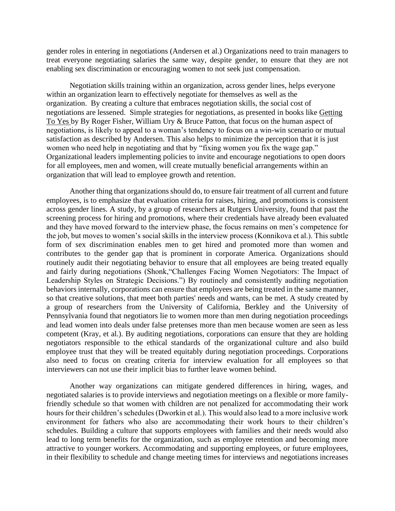gender roles in entering in negotiations (Andersen et al.) Organizations need to train managers to treat everyone negotiating salaries the same way, despite gender, to ensure that they are not enabling sex discrimination or encouraging women to not seek just compensation.

Negotiation skills training within an organization, across gender lines, helps everyone within an organization learn to effectively negotiate for themselves as well as the organization. By creating a culture that embraces negotiation skills, the social cost of negotiations are lessened. Simple strategies for negotiations, as presented in books like Getting To Yes by By Roger Fisher, William Ury & Bruce Patton, that focus on the human aspect of negotiations, is likely to appeal to a woman's tendency to focus on a win-win scenario or mutual satisfaction as described by Andersen. This also helps to minimize the perception that it is just women who need help in negotiating and that by "fixing women you fix the wage gap." Organizational leaders implementing policies to invite and encourage negotiations to open doors for all employees, men and women, will create mutually beneficial arrangements within an organization that will lead to employee growth and retention.

 Another thing that organizations should do, to ensure fair treatment of all current and future employees, is to emphasize that evaluation criteria for raises, hiring, and promotions is consistent across gender lines. A study, by a group of researchers at Rutgers University, found that past the screening process for hiring and promotions, where their credentials have already been evaluated and they have moved forward to the interview phase, the focus remains on men's competence for the job, but moves to women's social skills in the interview process (Konnikova et al.). This subtle form of sex discrimination enables men to get hired and promoted more than women and contributes to the gender gap that is prominent in corporate America. Organizations should routinely audit their negotiating behavior to ensure that all employees are being treated equally and fairly during negotiations (Shonk,"Challenges Facing Women Negotiators: The Impact of Leadership Styles on Strategic Decisions.") By routinely and consistently auditing negotiation behaviors internally, corporations can ensure that employees are being treated in the same manner, so that creative solutions, that meet both parties' needs and wants, can be met. A study created by a group of researchers from the University of California, Berkley and the University of Pennsylvania found that negotiators lie to women more than men during negotiation proceedings and lead women into deals under false pretenses more than men because women are seen as less competent (Kray, et al.). By auditing negotiations, corporations can ensure that they are holding negotiators responsible to the ethical standards of the organizational culture and also build employee trust that they will be treated equitably during negotiation proceedings. Corporations also need to focus on creating criteria for interview evaluation for all employees so that interviewers can not use their implicit bias to further leave women behind.

 Another way organizations can mitigate gendered differences in hiring, wages, and negotiated salaries is to provide interviews and negotiation meetings on a flexible or more familyfriendly schedule so that women with children are not penalized for accommodating their work hours for their children's schedules (Dworkin et al.). This would also lead to a more inclusive work environment for fathers who also are accommodating their work hours to their children's schedules. Building a culture that supports employees with families and their needs would also lead to long term benefits for the organization, such as employee retention and becoming more attractive to younger workers. Accommodating and supporting employees, or future employees, in their flexibility to schedule and change meeting times for interviews and negotiations increases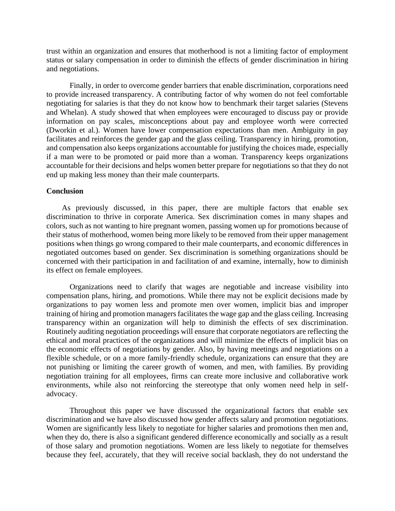trust within an organization and ensures that motherhood is not a limiting factor of employment status or salary compensation in order to diminish the effects of gender discrimination in hiring and negotiations.

 Finally, in order to overcome gender barriers that enable discrimination, corporations need to provide increased transparency. A contributing factor of why women do not feel comfortable negotiating for salaries is that they do not know how to benchmark their target salaries (Stevens and Whelan). A study showed that when employees were encouraged to discuss pay or provide information on pay scales, misconceptions about pay and employee worth were corrected (Dworkin et al.). Women have lower compensation expectations than men. Ambiguity in pay facilitates and reinforces the gender gap and the glass ceiling. Transparency in hiring, promotion, and compensation also keeps organizations accountable for justifying the choices made, especially if a man were to be promoted or paid more than a woman. Transparency keeps organizations accountable for their decisions and helps women better prepare for negotiations so that they do not end up making less money than their male counterparts.

# **Conclusion**

 As previously discussed, in this paper, there are multiple factors that enable sex discrimination to thrive in corporate America. Sex discrimination comes in many shapes and colors, such as not wanting to hire pregnant women, passing women up for promotions because of their status of motherhood, women being more likely to be removed from their upper management positions when things go wrong compared to their male counterparts, and economic differences in negotiated outcomes based on gender. Sex discrimination is something organizations should be concerned with their participation in and facilitation of and examine, internally, how to diminish its effect on female employees.

Organizations need to clarify that wages are negotiable and increase visibility into compensation plans, hiring, and promotions. While there may not be explicit decisions made by organizations to pay women less and promote men over women, implicit bias and improper training of hiring and promotion managers facilitates the wage gap and the glass ceiling. Increasing transparency within an organization will help to diminish the effects of sex discrimination. Routinely auditing negotiation proceedings will ensure that corporate negotiators are reflecting the ethical and moral practices of the organizations and will minimize the effects of implicit bias on the economic effects of negotiations by gender. Also, by having meetings and negotiations on a flexible schedule, or on a more family-friendly schedule, organizations can ensure that they are not punishing or limiting the career growth of women, and men, with families. By providing negotiation training for all employees, firms can create more inclusive and collaborative work environments, while also not reinforcing the stereotype that only women need help in selfadvocacy.

 Throughout this paper we have discussed the organizational factors that enable sex discrimination and we have also discussed how gender affects salary and promotion negotiations. Women are significantly less likely to negotiate for higher salaries and promotions then men and, when they do, there is also a significant gendered difference economically and socially as a result of those salary and promotion negotiations. Women are less likely to negotiate for themselves because they feel, accurately, that they will receive social backlash, they do not understand the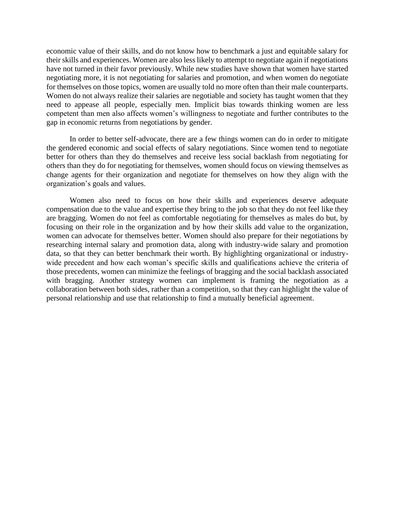economic value of their skills, and do not know how to benchmark a just and equitable salary for their skills and experiences. Women are also less likely to attempt to negotiate again if negotiations have not turned in their favor previously. While new studies have shown that women have started negotiating more, it is not negotiating for salaries and promotion, and when women do negotiate for themselves on those topics, women are usually told no more often than their male counterparts. Women do not always realize their salaries are negotiable and society has taught women that they need to appease all people, especially men. Implicit bias towards thinking women are less competent than men also affects women's willingness to negotiate and further contributes to the gap in economic returns from negotiations by gender.

 In order to better self-advocate, there are a few things women can do in order to mitigate the gendered economic and social effects of salary negotiations. Since women tend to negotiate better for others than they do themselves and receive less social backlash from negotiating for others than they do for negotiating for themselves, women should focus on viewing themselves as change agents for their organization and negotiate for themselves on how they align with the organization's goals and values.

Women also need to focus on how their skills and experiences deserve adequate compensation due to the value and expertise they bring to the job so that they do not feel like they are bragging. Women do not feel as comfortable negotiating for themselves as males do but, by focusing on their role in the organization and by how their skills add value to the organization, women can advocate for themselves better. Women should also prepare for their negotiations by researching internal salary and promotion data, along with industry-wide salary and promotion data, so that they can better benchmark their worth. By highlighting organizational or industrywide precedent and how each woman's specific skills and qualifications achieve the criteria of those precedents, women can minimize the feelings of bragging and the social backlash associated with bragging. Another strategy women can implement is framing the negotiation as a collaboration between both sides, rather than a competition, so that they can highlight the value of personal relationship and use that relationship to find a mutually beneficial agreement.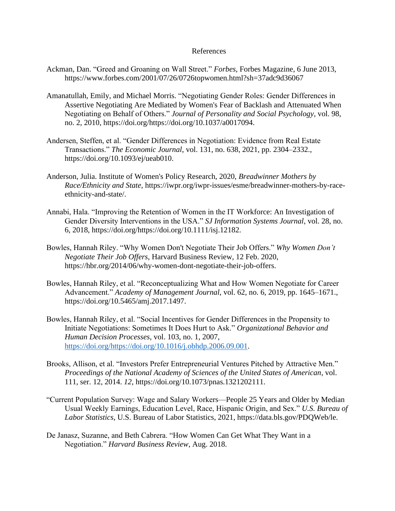# References

- Ackman, Dan. "Greed and Groaning on Wall Street." *Forbes*, Forbes Magazine, 6 June 2013, https://www.forbes.com/2001/07/26/0726topwomen.html?sh=37adc9d36067
- Amanatullah, Emily, and Michael Morris. "Negotiating Gender Roles: Gender Differences in Assertive Negotiating Are Mediated by Women's Fear of Backlash and Attenuated When Negotiating on Behalf of Others." *Journal of Personality and Social Psychology*, vol. 98, no. 2, 2010, https://doi.org/https://doi.org/10.1037/a0017094.
- Andersen, Steffen, et al. "Gender Differences in Negotiation: Evidence from Real Estate Transactions." *The Economic Journal*, vol. 131, no. 638, 2021, pp. 2304–2332., https://doi.org/10.1093/ej/ueab010.
- Anderson, Julia. Institute of Women's Policy Research, 2020, *Breadwinner Mothers by Race/Ethnicity and State*, https://iwpr.org/iwpr-issues/esme/breadwinner-mothers-by-raceethnicity-and-state/.
- Annabi, Hala. "Improving the Retention of Women in the IT Workforce: An Investigation of Gender Diversity Interventions in the USA." *SJ Information Systems Journal*, vol. 28, no. 6, 2018, https://doi.org/https://doi.org/10.1111/isj.12182.
- Bowles, Hannah Riley. "Why Women Don't Negotiate Their Job Offers." *Why Women Don't Negotiate Their Job Offers*, Harvard Business Review, 12 Feb. 2020, https://hbr.org/2014/06/why-women-dont-negotiate-their-job-offers.
- Bowles, Hannah Riley, et al. "Reconceptualizing What and How Women Negotiate for Career Advancement." *Academy of Management Journal*, vol. 62, no. 6, 2019, pp. 1645–1671., https://doi.org/10.5465/amj.2017.1497.
- Bowles, Hannah Riley, et al. "Social Incentives for Gender Differences in the Propensity to Initiate Negotiations: Sometimes It Does Hurt to Ask." *Organizational Behavior and Human Decision Processes*, vol. 103, no. 1, 2007, [https://doi.org/https://doi.org/10.1016/j.obhdp.2006.09.001.](https://doi.org/https:/doi.org/10.1016/j.obhdp.2006.09.001)
- Brooks, Allison, et al. "Investors Prefer Entrepreneurial Ventures Pitched by Attractive Men." *Proceedings of the National Academy of Sciences of the United States of American*, vol. 111, ser. 12, 2014. *12*, https://doi.org/10.1073/pnas.1321202111.
- "Current Population Survey: Wage and Salary Workers—People 25 Years and Older by Median Usual Weekly Earnings, Education Level, Race, Hispanic Origin, and Sex." *U.S. Bureau of Labor Statistics*, U.S. Bureau of Labor Statistics, 2021, https://data.bls.gov/PDQWeb/le.
- De Janasz, Suzanne, and Beth Cabrera. "How Women Can Get What They Want in a Negotiation." *Harvard Business Review*, Aug. 2018.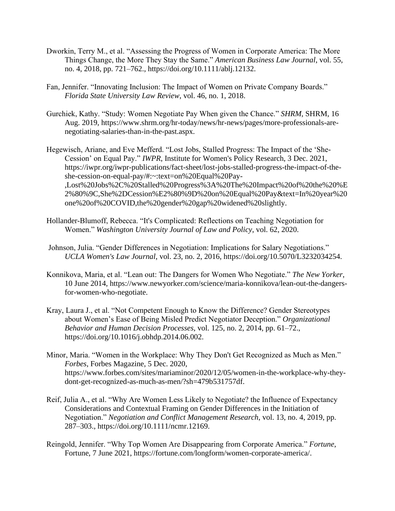- Dworkin, Terry M., et al. "Assessing the Progress of Women in Corporate America: The More Things Change, the More They Stay the Same." *American Business Law Journal*, vol. 55, no. 4, 2018, pp. 721–762., https://doi.org/10.1111/ablj.12132.
- Fan, Jennifer. "Innovating Inclusion: The Impact of Women on Private Company Boards." *Florida State University Law Review*, vol. 46, no. 1, 2018.
- Gurchiek, Kathy. "Study: Women Negotiate Pay When given the Chance." *SHRM*, SHRM, 16 Aug. 2019, https://www.shrm.org/hr-today/news/hr-news/pages/more-professionals-arenegotiating-salaries-than-in-the-past.aspx.
- Hegewisch, Ariane, and Eve Mefferd. "Lost Jobs, Stalled Progress: The Impact of the 'She-Cession' on Equal Pay." *IWPR*, Institute for Women's Policy Research, 3 Dec. 2021, https://iwpr.org/iwpr-publications/fact-sheet/lost-jobs-stalled-progress-the-impact-of-theshe-cession-on-equal-pay/#:~:text=on%20Equal%20Pay- ,Lost%20Jobs%2C%20Stalled%20Progress%3A%20The%20Impact%20of%20the%20%E 2%80%9C,She%2DCession%E2%80%9D%20on%20Equal%20Pay&text=In%20year%20 one%20of%20COVID,the%20gender%20gap%20widened%20slightly.
- Hollander-Blumoff, Rebecca. "It's Complicated: Reflections on Teaching Negotiation for Women." *Washington University Journal of Law and Policy*, vol. 62, 2020.
- Johnson, Julia. "Gender Differences in Negotiation: Implications for Salary Negotiations." *UCLA Women's Law Journal*, vol. 23, no. 2, 2016, https://doi.org/10.5070/L3232034254.
- Konnikova, Maria, et al. "Lean out: The Dangers for Women Who Negotiate." *The New Yorker*, 10 June 2014, https://www.newyorker.com/science/maria-konnikova/lean-out-the-dangersfor-women-who-negotiate.
- Kray, Laura J., et al. "Not Competent Enough to Know the Difference? Gender Stereotypes about Women's Ease of Being Misled Predict Negotiator Deception." *Organizational Behavior and Human Decision Processes*, vol. 125, no. 2, 2014, pp. 61–72., https://doi.org/10.1016/j.obhdp.2014.06.002.
- Minor, Maria. "Women in the Workplace: Why They Don't Get Recognized as Much as Men." *Forbes*, Forbes Magazine, 5 Dec. 2020, https://www.forbes.com/sites/mariaminor/2020/12/05/women-in-the-workplace-why-theydont-get-recognized-as-much-as-men/?sh=479b531757df.
- Reif, Julia A., et al. "Why Are Women Less Likely to Negotiate? the Influence of Expectancy Considerations and Contextual Framing on Gender Differences in the Initiation of Negotiation." *Negotiation and Conflict Management Research*, vol. 13, no. 4, 2019, pp. 287–303., https://doi.org/10.1111/ncmr.12169.
- Reingold, Jennifer. "Why Top Women Are Disappearing from Corporate America." *Fortune*, Fortune, 7 June 2021, https://fortune.com/longform/women-corporate-america/.